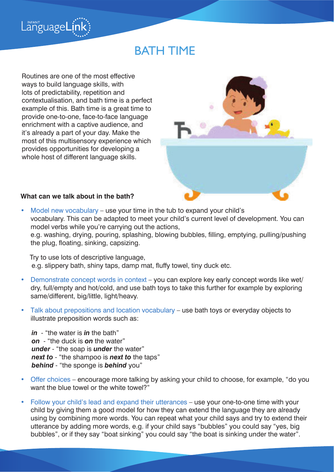

Routines are one of the most effective ways to build language skills, with lots of predictability, repetition and contextualisation, and bath time is a perfect example of this. Bath time is a great time to provide one-to-one, face-to-face language enrichment with a captive audience, and it's already a part of your day. Make the most of this multisensory experience which provides opportunities for developing a whole host of different language skills.

LänguageLin



## **What can we talk about in the bath?**

• Model new vocabulary – use your time in the tub to expand your child's vocabulary. This can be adapted to meet your child's current level of development. You can model verbs while you're carrying out the actions, e.g. washing, drying, pouring, splashing, blowing bubbles, filling, emptying, pulling/pushing the plug, floating, sinking, capsizing.

 Try to use lots of descriptive language, e.g. slippery bath, shiny taps, damp mat, fluffy towel, tiny duck etc.

- Demonstrate concept words in context you can explore key early concept words like wet/ dry, full/empty and hot/cold, and use bath toys to take this further for example by exploring same/different, big/little, light/heavy.
- Talk about prepositions and location vocabulary use bath toys or everyday objects to illustrate preposition words such as:

 *in* - "the water is *in* the bath" **on** - "the duck is **on** the water" *under* - "the soap is *under* the water" *next to* - "the shampoo is *next to* the taps" *behind* - "the sponge is *behind* you"

- Offer choices encourage more talking by asking your child to choose, for example, "do you want the blue towel or the white towel?"
- Follow your child's lead and expand their utterances use your one-to-one time with your child by giving them a good model for how they can extend the language they are already using by combining more words. You can repeat what your child says and try to extend their utterance by adding more words, e.g. if your child says "bubbles" you could say "yes, big bubbles", or if they say "boat sinking" you could say "the boat is sinking under the water".